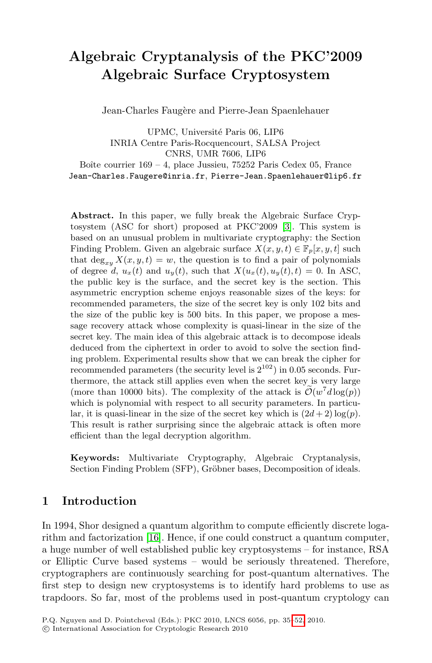# **Algebraic Cryptanalysis of the PKC'2009 Algebraic Surface Cryptosystem**

Jean-Charles Faugère and Pierre-Jean Spaenlehauer

UPMC, Univ[er](#page-15-0)sité Paris 06, LIP6 INRIA Centre Paris-Rocquencourt, SALSA Project CNRS, UMR 7606, LIP6 Boîte courrier  $169 - 4$ , place Jussieu, 75252 Paris Cedex 05, France Jean-Charles.Faugere@inria.fr, Pierre-Jean.Spaenlehauer@lip6.fr

**Abstract.** In this paper, we fully break the Algebraic Surface Cryptosystem (ASC for short) proposed at PKC'2009 [3]. This system is based on an unusual problem in multivariate cryptography: the Section Finding Problem. Given an algebraic surface  $X(x, y, t) \in \mathbb{F}_p[x, y, t]$  such that  $\deg_{x,y} X(x, y, t) = w$ , the question is to find a pair of polynomials of degree d,  $u_x(t)$  and  $u_y(t)$ , such that  $X(u_x(t), u_y(t), t) = 0$ . In ASC, the public key is the surface, and the secret key is the section. This asymmetric encryption scheme enjoys reasonable sizes of the keys: for recommended parameters, the size of the secret key is only 102 bits and the size of the public key is 500 bits. In this paper, we propose a message recovery attack whose complexity is quasi-linear in the size of the secret key. The main idea of this algebraic attack is to decompose ideals deduced from the ciphertext in order to avoid to solve the section finding problem. Experimental results show that we can break the cipher for recommended parameters (the security level is  $2^{102}$ ) in 0.05 seconds. Furthermore, the attack still applies even when the secret key is very large secret key. The main idea or this algebraic attack is to decordeduced from the ciphertext in order to avoid to solve the ing problem. Experimental results show that we can break the recommended parameters (the security le (more than 10000 bits). The complexity of the attack is  $\mathcal{O}(w^7d \log(p))$ which is polynomial with respect to all security parameters. In particular, it is quasi-linear in the size of the secret key which is  $(2d+2) \log(p)$ . This result is rather surprising since the algebraic attack is often more efficient than the legal decryption algorithm.

**Keywords:** Multivariate Cryptography, Algebraic Cryptanalysis, Section Finding Problem (SFP), Gröbner bases, Decomposition of ideals.

## **1 Introduction**

In 1994, Shor designed a quantum algo[rith](#page-17-0)m to compute efficiently discrete logarithm and factorization [16]. Hence, if one could construct a quantum computer, a huge number of well established public key cryptosystems – for instance, RSA or Elliptic Curve based systems – would be seriously threatened. Therefore, cryptographers are continuously searching for post-quantum alternatives. The first step to design new cryptosystems is to identify hard problems to use as trapdoors. So far, most of the problems used in post-quantum cryptology can

P.Q. Nguyen and D. Pointcheval (Eds.): PKC 2010, LNCS 6056, pp. 35–52, 2010.

<sup>-</sup>c International Association for Cryptologic Research 2010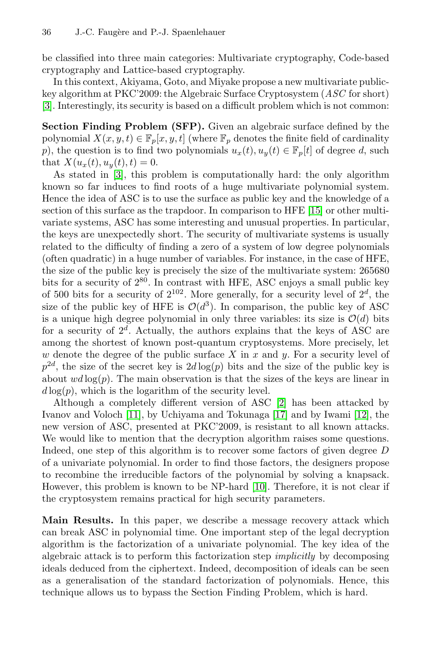#### 36 J.-C. Faugère and P.-J. Spaenlehauer

be classified into three main categories: Multivariate cryptography, Code-based cryptography and Lattice-based cryptography.

In this context, Akiyama, Goto, and Miyake propose a new multivariate publickey algorithm at PKC'2009: the Algebraic Surface Cryptosystem (*ASC* for short) [3]. Interestingly, its security is based on a difficult problem which is not common:

**Section Finding Problem (SFP).** Giv[en](#page-16-0) [a](#page-16-0)n algebraic surface defined by the polynomial  $X(x, y, t) \in \mathbb{F}_p[x, y, t]$  (where  $\mathbb{F}_p$  denotes the finite field of cardinality p), the question is to find two polynomials  $u_x(t), u_y(t) \in \mathbb{F}_p[t]$  of degree d, such that  $X(u_x(t), u_y(t), t) = 0.$ 

As stated in [3], this problem is computationally hard: the only algorithm known so far induces to find roots of a huge multivariate polynomial system. Hence the idea of ASC is to use the surface as public key and the knowledge of a section of this surface as the trapdoor. In comparison to HFE [15] or other multivariate systems, ASC has some interesting and unusual properties. In particular, the keys are unexpectedly short. The security of multivariate systems is usually related to the difficulty of finding a zero of a system of low degree polynomials (often quadratic) in a huge number of variables. For instance, in the case of HFE, the size of the public key is precisely the size of the multivariate system: 265680 bits for a security of  $2^{80}$ . In contrast with HFE, ASC enjoys a small public key of 500 bits for a security of  $2^{102}$ . More generally, for a security level of  $2^d$ , the size of the public key of HFE is  $\mathcal{O}(d^3)$  $\mathcal{O}(d^3)$  $\mathcal{O}(d^3)$ . In comparison, the public key of ASC [is a](#page-16-1) unique high degree polynomi[al in](#page-16-2) only three va[riab](#page-16-3)les: its size is  $\mathcal{O}(d)$  bits for a security of  $2^d$ . Actually, the authors explains that the keys of ASC are among the shortest of known post-quantum cryptosystems. More precisely, let w denote the degree of the public surface  $X$  in  $x$  and  $y$ . For a security level of  $p^{2d}$ , the size of the secret key is  $2d \log(p)$  bits and the size of the public key is about  $wd \log(p)$ . The main observation is that the sizes of the keys are linear in  $d \log(p)$ , which is the logarith[m o](#page-16-4)f the security level.

Although a completely different version of ASC [2] has been attacked by Ivanov and Voloch [11], by Uchiyama and Tokunaga [17] and by Iwami [12], the new version of ASC, presented at PKC'2009, is resistant to all known attacks. We would like to mention that the decryption algorithm raises some questions. Indeed, one step of this algorithm is to recover some factors of given degree D of a univariate polynomial. In order to find those factors, the designers propose to recombine the irreducible factors of the polynomial by solving a knapsack. However, this problem is known to be NP-hard [10]. Therefore, it is not clear if the cryptosystem remains practical for high security parameters.

**Main Results.** In this paper, we describe a message recovery attack which can break ASC in polynomial time. One important step of the legal decryption algorithm is the factorization of a univariate polynomial. The key idea of the algebraic attack is to perform this factorization step *implicitly* by decomposing ideals deduced from the ciphertext. Indeed, decomposition of ideals can be seen as a generalisation of the standard factorization of polynomials. Hence, this technique allows us to bypass the Section Finding Problem, which is hard.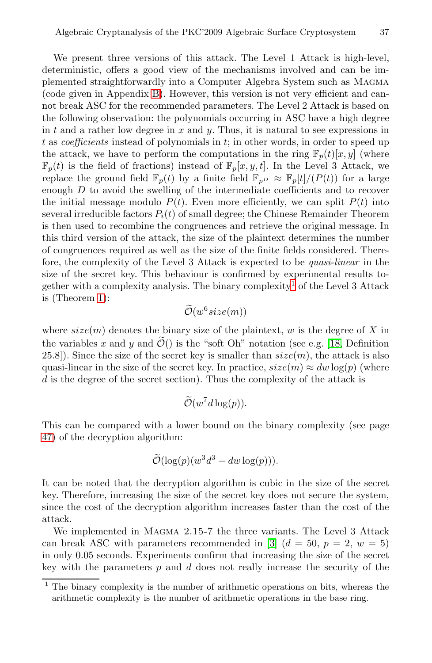We present three versions of this attack. The Level 1 Attack is high-level, deterministic, offers a good view of the mechanisms involved and can be implemented straightforwardly into a Computer Algebra System such as Magma (code given in Appendix B). However, this version is not very efficient and cannot break ASC for the recommended parameters. The Level 2 Attack is based on the following observation: the polynomials occurring in ASC have a high degree in t and a rather low degree in x and y. Thus, it is natural to see expressions in t as *coefficients* instead of polynomials in t; in other words, in order to speed up the attack, we have to perform the computations in the ring  $\mathbb{F}_p(t)[x, y]$  (where  $\mathbb{F}_p(t)$  is the field of fractions) instead of  $\mathbb{F}_p[x, y, t]$ . In the Level 3 Attack, we replace the ground field  $\mathbb{F}_p(t)$  by a finite field  $\mathbb{F}_{p} \approx \mathbb{F}_p[t]/(P(t))$  for a large enough D to avoid the swelling of th[e](#page-2-0) intermediate coefficients and to recover the initial message modulo  $P(t)$ . Even more efficiently, we can split  $P(t)$  into several irreducible factors  $P_i(t)$  of small degree; the Chinese Remainder Theorem is then used to recombine the congruences and retrieve the original message. In this third version of the attack, the size of the plaintext determines the number of congruences required as well as the size of t[he fi](#page-16-5)nite fields considered. Therefore, the complexity of the Level 3 Attack is expected to be *quasi-linear* in the size of the secret key. This behaviour is confirmed by experimental results together with a complexity analysis. The binary complexity<sup>1</sup> of the Level 3 Attack is (Theorem 1): is<br>| 3<br>|5.<br>|O

 $\tilde{\mathcal{O}}(w^6 size(m))$ 

where  $size(m)$  denotes the binary size of the plaintext, w is the degree of X in gether with a complexity and<br>is (Theorem 1):<br>where  $size(m)$  denotes the l<br>the variables x and y and  $\tilde{\mathcal{O}}$ the variables x and y and  $\widetilde{\mathcal{O}}($ ) is the "soft Oh" notation (see e.g. [18, Definition 25.8]). Since the size of the secret key is smaller than  $size(m)$ , the attack is also quasi-linear in the size of the secret key. In practice,  $size(m) \approx dw \log(p)$  (where d is the degree of the secret section). Thus the complexity of the attack is t l<br>t l<br>reiol<br> $\widetilde{\mathcal{O}}$ 

$$
\widetilde{\mathcal{O}}(w^7d\log(p)).
$$

This can be compared with a lower bound on the binary complexity (see page 47) of the decryption algorithm: itl<br>or<br>Õ

$$
\widetilde{\mathcal{O}}(\log(p)(w^3d^3 + dw \log(p))).
$$

<span id="page-2-0"></span>It can be noted that the decryption algorithm is cubic in the size of the secret key. Therefore, increasing the size of the secret key does not secure the system, since the cost of the decryption algorithm increases faster than the cost of the attack.

We implemented in Magma 2.15-7 the three variants. The Level 3 Attack can break ASC with parameters recommended in [3]  $(d = 50, p = 2, w = 5)$ in only 0.05 seconds. Experiments confirm that increasing the size of the secret key with the parameters  $p$  and  $d$  does not really increase the security of the

<sup>1</sup> The binary complexity is the number of arithmetic operations on bits, whereas the arithmetic complexity is the number of arithmetic operations in the base ring.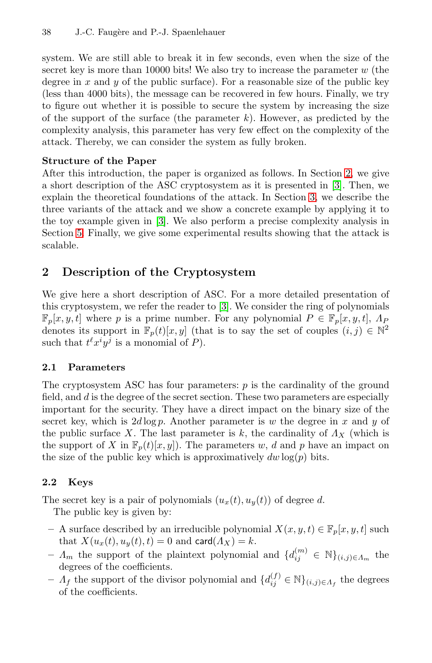#### 38 J.-C. Faugère and P.-J. Spaenlehauer

system. We are still able to break it in few seconds, even when the size of the secret key is more than 10000 bits! We also try to increase the parameter  $w$  (the degree in x and y of the public surface). For a rea[so](#page-3-0)nable size of the public key (less than 4000 bits), the message can be recove[re](#page-15-0)d in few hours. Finally, we try to figure out whether it is possible to sec[ur](#page-5-0)e the system by increasing the size of the support of the surface (the parameter  $k$ ). However, as predicted by the comple[xit](#page-15-0)y analysis, this parameter has very few effect on the complexity of the attack. Thereby, we can consider the system as fully broken.

#### <span id="page-3-0"></span>**Structure of the Paper**

After this introduction, the paper is organized as follows. In Section 2, we give a short description of the ASC cryptosystem as it is presented in [3]. Then, we explain the theoretical foundations of the attack. In Section 3, we describe the three variants of the [att](#page-15-0)ack and we show a concrete example by applying it to the toy example given in [3]. We also perform a precise complexity analysis in Section 5. Finally, we give some experimental results showing that the attack is scalable.

# **2 Description of the Cryptosystem**

We give here a short description of ASC. For a more detailed presentation of this cryptosystem, we refer the reader to [3]. We consider the ring of polynomials  $\mathbb{F}_p[x, y, t]$  where p is a prime number. For any polynomial  $P \in \mathbb{F}_p[x, y, t]$ ,  $\Lambda_P$ denotes its support in  $\mathbb{F}_p(t)[x, y]$  (that is to say the set of couples  $(i, j) \in \mathbb{N}^2$ such that  $t^{\ell}x^{i}\overline{y^{j}}$  is a monomial of  $P$ ).

#### **2.1 Parameters**

The cryptosystem ASC has four parameters:  $p$  is the cardinality of the ground field, and d is the degree of the secret section. These two parameters are especially important for the security. They have a direct impact on the binary size of the secret key, which is  $2d \log p$ . Another parameter is w the degree in x and y of the public surface X. The last parameter is k, the cardinality of  $\Lambda_X$  (which is the support of X in  $\mathbb{F}_p(t)[x, y]$ . The parameters w, d and p have an impact on the size of the public key which is approximatively  $dw \log(p)$  bits.

## **2.2 Keys**

The secret key is a pair of polynomials  $(u_x(t), u_y(t))$  of degree d.

The public key is given by:

- **–** A surface described by an irreducible polynomial  $X(x, y, t) \in \mathbb{F}_p[x, y, t]$  such that  $X(u_x(t), u_y(t), t) = 0$  and card $(\Lambda_X) = k$ .
- $A_m$  the support of the plaintext polynomial and  $\{d_{ij}^{(m)} \in \mathbb{N}\}_{(i,j)\in A_m}$  the degrees of the coefficients.
- $\Lambda_f$  the support of the divisor polynomial and  $\{d_{ij}^{(f)} \in \mathbb{N}\}_{(i,j)\in\Lambda_f}$  the degrees of the coefficients.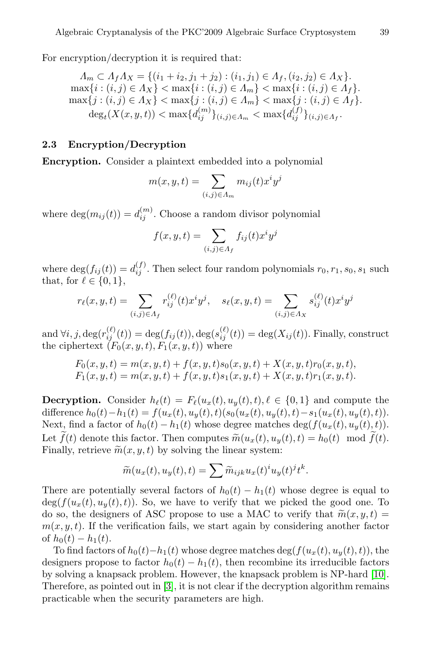For encryption/decryption it is required that:

$$
A_m \subset A_f A_X = \{(i_1 + i_2, j_1 + j_2) : (i_1, j_1) \in A_f, (i_2, j_2) \in A_X\}.
$$
  
\n
$$
\max\{i : (i, j) \in A_X\} < \max\{i : (i, j) \in A_m\} < \max\{i : (i, j) \in A_f\}.
$$
  
\n
$$
\max\{j : (i, j) \in A_X\} < \max\{j : (i, j) \in A_m\} < \max\{j : (i, j) \in A_f\}.
$$
  
\n
$$
\deg_t(X(x, y, t)) < \max\{d_{ij}^{(m)}\}_{(i,j) \in A_m} < \max\{d_{ij}^{(j)}\}_{(i,j) \in A_f}.
$$

# **2.3 Encryption/Decryption**

**Encryption.** Consider a plaintext embedded into a polynomial

$$
f(x, y, t) = \sum_{(i,j) \in A_m} f(x, y, t)
$$
\n
$$
f(x, y, t) = \sum_{(i,j) \in A_m} m_{ij}(t) x^i y^j
$$
\n
$$
f(x, y, t) = \sum_{(i,j) \in A_m} f(x, y, t)
$$
\n
$$
f(x, y, t) = \sum_{(i,j) \in A_m} f_{ij}(t) x^i y^j
$$

where  $\deg(m_{ij}(t)) = d_{ij}^{(m)}$ . Choose a random divisor polynomial

$$
f(x, y, t) = \sum_{(i,j) \in A_f} f_{ij}(t) x^i y^j
$$

where  $\deg(f_{ij}(t)) = d_{ij}^{(f)}$ . Then select four random polynomials  $r_0, r_1, s_0, s_1$  such that, for  $\ell \in \{0, 1\}$ ,  $f(x, y, t) = \sum_{(i,j) \in A_f} f_{ij}(t)x^i y^j$ <br>  $(f_{ij}(t)) = d_{ij}^{(f)}$ . Then select four random polynom<br>  $x \in \{0, 1\},$ <br>  $(x, y, t) = \sum_{i,j} r_{ij}^{(\ell)}(t)x^i y^j, \quad s_{\ell}(x, y, t) = \sum_{i,j}$ 

$$
r_{\ell}(x, y, t) = \sum_{(i,j) \in A_f} r_{ij}^{(\ell)}(t) x^i y^j, \quad s_{\ell}(x, y, t) = \sum_{(i,j) \in A_X} s_{ij}^{(\ell)}(t) x^i y^j
$$

and  $\forall i, j, \deg(r_{ij}^{(\ell)}(t)) = \deg(f_{ij}(t)), \deg(s_{ij}^{(\ell)}(t)) = \deg(X_{ij}(t)).$  Finally, construct the ciphertext  $(F_0(x, y, t), F_1(x, y, t))$  where

$$
F_0(x, y, t) = m(x, y, t) + f(x, y, t)s_0(x, y, t) + X(x, y, t)r_0(x, y, t),
$$
  
\n
$$
F_1(x, y, t) = m(x, y, t) + f(x, y, t)s_1(x, y, t) + X(x, y, t)r_1(x, y, t).
$$

**Decryption.** Consider  $h_{\ell}(t) = F_{\ell}(u_x(t), u_y(t), t), \ell \in \{0, 1\}$  and compute the difference  $h_0(t) - h_1(t) = f(u_x(t), u_y(t), t)(s_0(u_x(t), u_y(t), t) - s_1(u_x(t), u_y(t), t)).$ Next, find a factor of  $h_0(t) - h_1(t)$  whose degree matches  $\deg(f(u_x(t), u_y(t), t))$ . Let  $f(t)$  denote this factor. Then computes  $\widetilde{m}(u_x(t), u_y(t), t) = h_0(t) \mod f(t)$ . **viation**. Consider  $h_{\ell}(t) = F_{\ell}(u_x(t), u_y(t))$ <br>ence  $h_0(t) - h_1(t) = f(u_x(t), u_y(t), t)(s_0(t))$ <br>find a factor of  $h_0(t) - h_1(t)$  whose degree  $\tilde{m}$ **Decryption.** Con<br>difference  $h_0(t) - h$ <br>Next, find a factor<br>Let  $\tilde{f}(t)$  denote thi<br>Finally, retrieve  $\tilde{m}$ Finally, retrieve  $\widetilde{m}(x, y, t)$  by solving the linear system: 1(o)<br>is<br> $(x \widetilde{m})$ sider  $h_{\ell}(t) = P_{\ell}(u_x(t), u_{\ell}(t))$ <br>  $(u(t)) = f(u_x(t), u_y(t), t)(s_0)$ <br>
of  $h_0(t) - h_1(t)$  whose de<br>
s factor. Then computes  $(u_x(t), u_y(t), t) = \sum \widetilde{m}$ 

$$
\widetilde{m}(u_x(t), u_y(t), t) = \sum \widetilde{m}_{ijk} u_x(t)^i u_y(t)^j t^k.
$$

Th[e](#page-15-0)re are potentially several factors of  $h_0(t) - h_1(t)$  w[hos](#page-16-4)e degree is equal to  $deg(f(u_x(t), u_y(t), t))$ . So, we have to verify that we picked the good one. To  $\widetilde{m}(u_x(t), u_y(t), t) = \sum \widetilde{m}_{ijk} u_x(t)^i u_y(t)^j t^k.$ <br>There are potentially several factors of  $h_0(t) - h_1(t)$  whose degree is  $\deg(f(u_x(t), u_y(t), t))$ . So, we have to verify that we picked the good oso, the designers of ASC propose to use do so, the designers of ASC propose to use a MAC to verify that  $\widetilde{m}(x, y, t) =$  $m(x, y, t)$ . If the verification fails, we start again by considering another factor of  $h_0(t) - h_1(t)$ .

To find factors of  $h_0(t)-h_1(t)$  whose degree matches deg( $f(u_x(t), u_y(t), t)$ ), the designers propose to factor  $h_0(t) - h_1(t)$ , then recombine its irreducible factors by solving a knapsack problem. However, the knapsack problem is NP-hard [10]. Therefore, as pointed out in [3], it is not clear if the decryption algorithm remains practicable when the security parameters are high.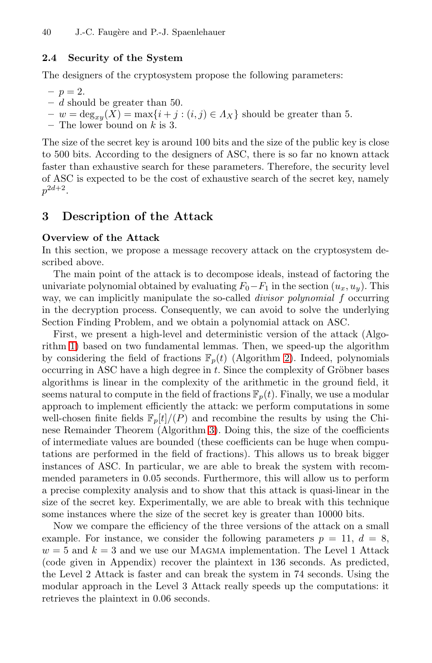#### **2.4 Security of the System**

The designers of the cryptosystem propose the following parameters:

- $n = 2.$
- **–** d should be greater than 50.
- $w = deg_{xy}(X) = max\{i + j : (i, j) \in A_X\}$  should be greater than 5.
- **–** The lower bound on k is 3.

<span id="page-5-0"></span>The size of the secret key is around 100 bits and the size of the public key is close to 500 bits. According to the designers of ASC, there is so far no known attack faster than exhaustive search for these parameters. Therefore, the security level of ASC is expected to be the cost of exhaustive search of the secret key, namely  $p^{2d+2}$ .

## **3 Description of the Attack**

#### **Overview of the Attack**

In this section, we propose a message recovery attack on the cryptosystem described above.

The main point of the attack is t[o](#page-8-0) [d](#page-8-0)ecompose ideals, instead of factoring the univariate polynomial obtained by evaluating  $F_0-F_1$  in the section  $(u_x, u_y)$ . This way, we can implicitly manipulate the so-called *divisor polynomial* f occurring in the decryption process. Consequently, we can avoid to solve the underlying Section Finding Problem, and we obtain a polynomial attack on ASC.

First, we presen[t a](#page-9-0) high-level and deterministic version of the attack (Algorithm 1) based on two fundamental lemmas. Then, we speed-up the algorithm by considering the field of fractions  $\mathbb{F}_p(t)$  (Algorithm 2). Indeed, polynomials occurring in ASC have a high degree in  $t$ . Since the complexity of Gröbner bases algorithms is linear in the complexity of the arithmetic in the ground field, it seems natural to compute in the field of fractions  $\mathbb{F}_p(t)$ . Finally, we use a modular approach to implement efficiently the attack: we perform computations in some well-chosen finite fields  $\mathbb{F}_p[t]/(P)$  and recombine the results by using the Chinese Remainder Theorem (Algorithm 3). Doing this, the size of the coefficients of intermediate values are bounded (these coefficients can be huge when computations are performed in the field of fractions). This allows us to break bigger instances of ASC. In particular, we are able to break the system with recommended parameters in 0.05 seconds. Furthermore, this will allow us to perform a precise complexity analysis and to show that this attack is quasi-linear in the size of the secret key. Experimentally, we are able to break with this technique some instances where the size of the secret key is greater than 10000 bits.

Now we compare the efficiency of the three versions of the attack on a small example. For instance, we consider the following parameters  $p = 11, d = 8$ ,  $w = 5$  and  $k = 3$  and we use our MAGMA implementation. The Level 1 Attack (code given in Appendix) recover the plaintext in 136 seconds. As predicted, the Level 2 Attack is faster and can break the system in 74 seconds. Using the modular approach in the Level 3 Attack really speeds up the computations: it retrieves the plaintext in 0.06 seconds.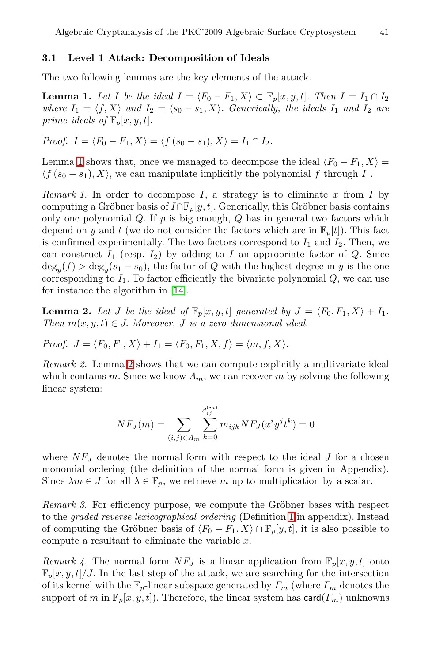#### **3.1 Level 1 Attack: Decomposition of Ideals**

The two following lemmas are the key elements of the attack.

**Lemma 1.** *Let I be the ideal*  $I = \langle F_0 - F_1, X \rangle \subset \mathbb{F}_p[x, y, t]$ *. Then*  $I = I_1 \cap I_2$ *where*  $I_1 = \langle f, X \rangle$  *and*  $I_2 = \langle s_0 - s_1, X \rangle$ . Generically, the ideals  $I_1$  *and*  $I_2$  *are prime ideals of*  $\mathbb{F}_p[x, y, t]$ *.* 

*Proof.*  $I = \langle F_0 - F_1, X \rangle = \langle f (s_0 - s_1), X \rangle = I_1 \cap I_2$ .

Lemma 1 shows that, once we managed to decompose the ideal  $\langle F_0 - F_1, X \rangle =$  $\langle f(s_0 - s_1), X \rangle$ , we can manipulate implicitly the polynomial f through  $I_1$ .

<span id="page-6-0"></span>*Remark 1.* [In](#page-16-6) order to decompose  $I$ , a strategy is to eliminate  $x$  from  $I$  by computing a Gröbner basis of  $I \cap \mathbb{F}_p[y, t]$ . Generically, this Gröbner basis contains only one polynomial  $Q$ . If  $p$  is big enough,  $Q$  has in general two factors which depend on y and t (we do not consider the factors which are in  $\mathbb{F}_p[t]$ ). This fact is confirmed experimentally. The two factors correspond to  $I_1$  and  $I_2$ . Then, we can construct  $I_1$  (resp.  $I_2$ ) by adding to I an appropriate factor of Q. Since  $deg_u(f) > deg_u(s_1 - s_0)$  $deg_u(f) > deg_u(s_1 - s_0)$ , the factor of Q with the highest degree in y is the one corresponding to  $I_1$ . To factor efficiently the bivariate polynomial  $Q$ , we can use for instance the algorithm in [14].

**Lemma 2.** Let J be the ideal of  $\mathbb{F}_p[x, y, t]$  generated by  $J = \langle F_0, F_1, X \rangle + I_1$ . *Then*  $m(x, y, t) \in J$ . *Moreover, J is a zero-dimensional ideal.* 

*Proof.*  $J = \langle F_0, F_1, X \rangle + I_1 = \langle F_0, F_1, X, f \rangle = \langle m, f, X \rangle$ .

*Remark 2.* Lemma 2 shows that we can compute explicitly a multivariate ideal which contains m. Since we know  $\Lambda_m$ , we can recover m by solving the following linear system: and 2 shows that v<br>  $N.F_J(m) = \sum_{n=1}^{N} N.F_J(m)$ 

$$
NF_J(m) = \sum_{(i,j)\in A_m} \sum_{k=0}^{d_{ij}^{(m)}} m_{ijk} NF_J(x^i y^j t^k) = 0
$$

where  $NF_J$  denotes the normal form with respect to the ideal  $J$  for a chosen monomial ordering (the definition of the normal form is given in Appendix). Since  $\lambda m \in J$  for all  $\lambda \in \mathbb{F}_p$ , we retrieve m up to multiplication by a scalar.

*Remark 3.* For efficiency purpose, we compute the Gröbner bases with respect to the *graded reverse lexicographical ordering* (Definition 1 in appendix). Instead of computing the Gröbner basis of  $\langle F_0 - F_1, X \rangle \cap \mathbb{F}_p[y, t]$ , it is also possible to compute a resultant to eliminate the variable x.

*Remark 4.* The normal form  $NF_J$  is a linear application from  $\mathbb{F}_p[x, y, t]$  onto  $\mathbb{F}_p[x, y, t]/J$ . In the last step of the attack, we are searching for the intersection of its kernel with the  $\mathbb{F}_p$ -linear subspace generated by  $\Gamma_m$  (where  $\Gamma_m$  denotes the support of m in  $\mathbb{F}_p[x, y, t]$ . Therefore, the linear system has card $(T_m)$  unknowns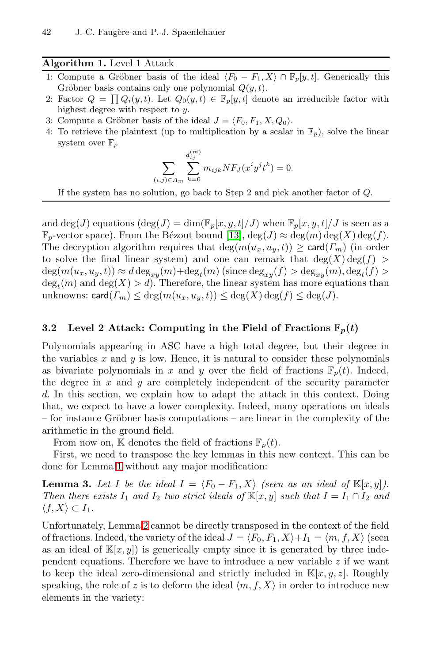## **Algorithm 1.** Level 1 Attack

- <span id="page-7-0"></span>1: Compute a Gröbner basis of the ideal  $\langle F_0 - F_1, X \rangle \cap \mathbb{F}_p[y, t]$ . Generically this Gröbner basis contains only one polynomial  $Q(y, t)$ . **Algorithm 1.** Level 1 Attack<br>1: Compute a Gröbner basis of the ideal  $\langle F_0 - F_1, X \rangle \cap \mathbb{F}_p[y, t]$ . Generically this<br>Gröbner basis contains only one polynomial  $Q(y, t)$ .<br>2: Factor  $Q = \prod Q_i(y, t)$ . Let  $Q_0(y, t) \in \mathbb{F}_p[y, t]$  d
- highest degree with respect to *y*.
- 3: Compute a Gröbner basis of the ideal  $J = \langle F_0, F_1, X, Q_0 \rangle$ .
- 4: To retrieve the plaintext (up to multiplication by a scalar in  $\mathbb{F}_p$ ), solve the linear system over  $\mathbb{F}_p$

$$
\sum_{(i,j)\in A_m} \sum_{k=0}^{d_{ij}^{(m)}} m_{ijk} NF_J(x^i y^j t^k) = 0.
$$

If the system has no solution, go back to Step 2 and pick another factor of *Q*.

and deg(J) equations  $(\deg(J) = \dim(\mathbb{F}_p[x, y, t]/J)$  when  $\mathbb{F}_p[x, y, t]/J$  is seen as a  $\mathbb{F}_p$ -vector space). From the Bézout bound [13],  $\deg(J) \approx \deg(m) \deg(X) \deg(f)$ . The decryption algorithm requires that  $deg(m(u_x, u_y, t)) \geq card(\Gamma_m)$  (in order to solve the final linear system) and one can remark that  $deg(X) deg(f)$  $deg(m(u_x, u_y, t)) \approx d \deg_{xy}(m) + deg_t(m)$  (since  $deg_{xy}(f) > deg_{xy}(m)$ ,  $deg_t(f) >$  $deg<sub>t</sub>(m)$  and  $deg(X) > d$ ). Therefore, the linear system has more equations than unknowns: card $(T_m) \leq \deg(m(u_x, u_y, t)) \leq \deg(X) \deg(f) \leq \deg(J)$ .

## **3.2** Level 2 Attack: Computing in the Field of Fractions  $\mathbb{F}_p(t)$

Polynomials appearing in ASC have a high total degree, but their degree in the variables  $x$  and  $y$  is low. Hence, it is natural to consider these polynomials as bivariate polynomials in x and y over the field of fractions  $\mathbb{F}_p(t)$ . Indeed, the degree in  $x$  and  $y$  are completely independent of the security parameter d. In this section, we explain how to adapt the attack in this context. Doing that, we expect to have a lower complexity. Indeed, many operations on ideals  $-$  for instance Gröbner basis computations  $-$  are linear in the complexity of the arit[hm](#page-6-0)etic in the ground field.

From now on, K denotes the field of fractions  $\mathbb{F}_p(t)$ .

First, we need to transpose the key lemmas in this new context. This can be done for Lemma 1 without any major modification:

**Lemma 3.** Let I be the ideal  $I = \langle F_0 - F_1, X \rangle$  (seen as an ideal of  $\mathbb{K}[x, y]$ ). *Then there exists*  $I_1$  *and*  $I_2$  *two strict ideals of*  $\mathbb{K}[x, y]$  *such that*  $I = I_1 \cap I_2$  *and*  $\langle f, X \rangle \subset I_1$ .

Unfortunately, Lemma 2 cannot be directly transposed in the context of the field of fractions. Indeed, the variety of the ideal  $J = \langle F_0, F_1, X \rangle + I_1 = \langle m, f, X \rangle$  (seen as an ideal of  $\mathbb{K}[x, y]$  is generically empty since it is generated by three independent equations. Therefore we have to introduce a new variable  $z$  if we want to keep the ideal zero-dimensional and strictly included in  $\mathbb{K}[x, y, z]$ . Roughly speaking, the role of z is to deform the ideal  $\langle m, f, X \rangle$  in order to introduce new elements in the variety: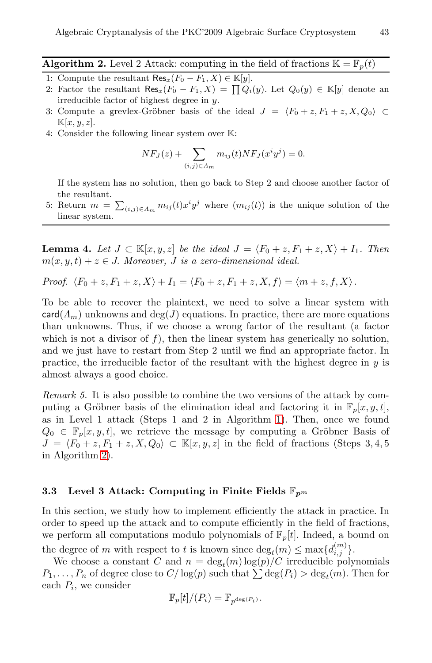- <span id="page-8-0"></span>**Algorithm 2.** Level 2 Attack: computing in the field of fractions  $\mathbb{K} = \mathbb{F}_p(t)$
- 1: Compute the resultant  $\text{Res}_x(F_0 F_1, X) \in \mathbb{K}[y]$ .
- 2: Factor the resultant  $\text{Res}_x(F_0 F_1, X) = \prod Q_i(y)$ . Let  $Q_0(y) \in \mathbb{K}[y]$  denote an
- irreducible factor of highest degree in *y*.<br>
Compute a grevlex-Gröbner basis of  $\mathbb{K}[x, y, z]$ .<br>
Consider the following linear system over<br>  $NF_J(z) + \sum_i$ 3: Compute a grevlex-Gröbner basis of the ideal  $J = \langle F_0 + z, F_1 + z, X, Q_0 \rangle \subset$ K[*x, y, z*].
- 4: Consider the following linear system over K:

$$
NF_J(z) + \sum_{(i,j)\in\Lambda_m} m_{ij}(t)NF_J(x^iy^j) = 0.
$$

If the system has no solution, then go back to Step 2 and choose another factor of the resultant.  $NF_J(z) + \sum_{(i,j)\in A_m} m_{ij}(t)NF_J(x^iy^j) = 0.$ <br>If the system has no solution, then go back to Step 2 and choose another factor of the resultant.<br>5: Return  $m = \sum_{(i,j)\in A_m} m_{ij}(t)x^iy^j$  where  $(m_{ij}(t))$  is the unique solution of the

linear system.

**Lemma 4.** Let  $J \subset \mathbb{K}[x, y, z]$  be the ideal  $J = \langle F_0 + z, F_1 + z, X \rangle + I_1$ . Then  $m(x, y, t) + z \in J$ . Moreover, *J* is a zero-dimensional ideal.

*Proof.* 
$$
\langle F_0 + z, F_1 + z, X \rangle + I_1 = \langle F_0 + z, F_1 + z, X, f \rangle = \langle m + z, f, X \rangle
$$
.

To be able to recover the plaintext, we need to solve a linear system with  $card(\Lambda_m)$  unknowns and  $deg(J)$  equations. In practice, there are more equations than unknowns. Thus, if we cho[ose](#page-7-0) a wrong factor of the resultant (a factor which is not a divisor of  $f$ ), then the linear system has generically no solution, and we just have to restart from Step 2 until we find an appropriate factor. In practice, the irreducible factor of the resultant with the highest degree in  $y$  is almost always a good choice.

*Remark 5.* It is also possible to combine the two versions of the attack by computing a Gröbner basis of the elimination ideal and factoring it in  $\mathbb{F}_p[x, y, t]$ , as in Level 1 attack (Steps 1 and 2 in Algorithm 1). Then, once we found  $Q_0 \in \mathbb{F}_p[x, y, t]$ , we retrieve the message by computing a Gröbner Basis of  $J = \langle F_0 + z, F_1 + z, X, Q_0 \rangle \subset \mathbb{K}[x, y, z]$  in the field of fractions (Steps 3, 4, 5) in Algorithm 2).

## **3.3 Level 3 Attack: Computing in Finite Fields** F*p<sup>m</sup>*

In this section, we study how to implement efficiently the attack in practice. In order to speed up the attack and to compute efficiently in the field of fractions, we perform all computations modulo polynomials of  $\mathbb{F}_p[t]$ . Indeed, a bound on the degree of m with respect to t is known since  $\deg_t(m) \leq \max\{d_{i,j}^{(m)}\}.$ In this section, we study how to implement efficiently the attack in practice. In<br>order to speed up the attack and to compute efficiently in the field of fractions,<br>we perform all computations modulo polynomials of  $\mathbb{F$ 

We choose a constant C and  $n = \deg_t(m) \log(p) / C$  irreducible polynomials each  $P_i$ , we consider

$$
\mathbb{F}_p[t]/(P_i) = \mathbb{F}_{p^{\deg(P_i)}}.
$$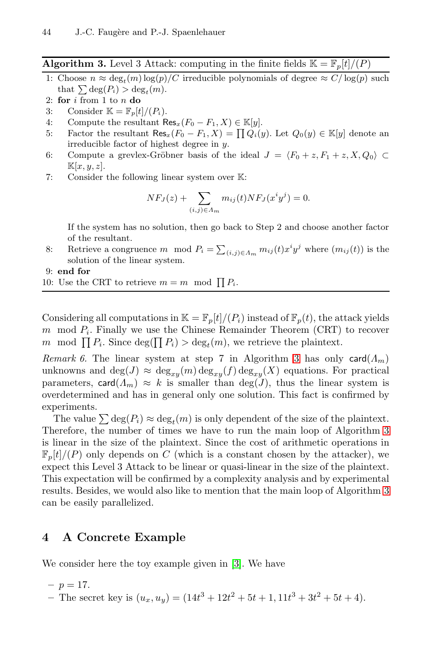**Algorithm 3.** Level 3 Attack: computing in the finite fields  $\mathbb{K} = \mathbb{F}_p[t]/(P)$ 

<span id="page-9-0"></span>\n- 1.5. Faugère and P.-J. Spaenlehauer
\n- **Algorithm 3.** Level 3 Attack: computing in the finite fields 
$$
\mathbb{K} = \mathbb{F}_p[t]/(P)
$$
\n- 1: Choose  $n \approx \deg_t(m) \log(p)/C$  irreducible polynomials of degree  $\approx C/\log(p)$  such that  $\sum \deg(P_i) > \deg_t(m)$ .
\n

- 2: **for** *i* from 1 to *n* **do**
- 3: Consider  $\mathbb{K} = \mathbb{F}_p[t]/(P_i)$ .
- 4: Compute the resultant  $\text{Res}_x(F_0 F_1, X) \in \mathbb{K}[y]$ .<br>5: Factor the resultant  $\text{Res}_x(F_0 F_1, X) = \prod Q_i(y)$
- Factor the resultant  $\text{Res}_x(F_0 F_1, X) = \prod Q_i(y)$ . Let  $Q_0(y) \in \mathbb{K}[y]$  denote an irreducible factor of highest degree in *y*.
- 6: Compute a grevlex-Gröbner basis of the ideal  $J = \langle F_0 + z, F_1 + z, X, Q_0 \rangle \subset$  $\mathbb{K}[x, y, z].$ Fighest degree<br> *NFJ*(*z*) +  $\sum$
- 7: Consider the following linear system over K:

$$
NF_J(z) + \sum_{(i,j)\in\Lambda_m} m_{ij}(t)NF_J(x^iy^j) = 0.
$$

If the system has no solution, then go back to Step 2 and choose another factor of the resultant.  $NF_J(z) + \sum_{(i,j)\in A_m} m_{ij}(t)NF_J(x^iy^j) = 0.$ <br>If the system has no solution, then go back to Step 2 and choose another factor<br>of the resultant.<br>8: Retrieve a congruence *m* mod  $P_i = \sum_{(i,j)\in A_m} m_{ij}(t)x^iy^j$  where  $(m_{ij}(t))$  is the

solution of the linear system. 16: If the system has no solution, then go back of the resultant.<br>
8: Retrieve a congruence *m* mod  $P_i = \sum_{(i,j)}$  solution of the linear system.<br>
9: **end for**<br>
10: Use the CRT to retrieve  $m = m$  mod  $\prod P_i$ .

9: **end for**

Considering all computations in  $\mathbb{K} = \mathbb{F}_p[t]/(P_i)$  instead of  $\mathbb{F}_p(t)$ , the attack yields m mod  $P_i$ . Finally we use the Chinese Remainder Theorem (CRT) to recover 10: Use the CRT to retrieve  $m = m \mod \prod P_i$ .<br>Considering all computations in  $\mathbb{K} = \mathbb{F}_p[t]/(P_i)$  instead of  $\mathbb{F}_p(t)$ , the at  $m \mod P_i$ . Finally we use the Chinese Remainder Theorem (CRT)<br> $m \mod \prod P_i$ . Since deg( $\prod P_i$ ) > deg

*Remark 6.* The linear system at step 7 in Algorithm 3 has only card $(\Lambda_m)$ unknowns and  $\deg(J) \approx \deg_{xy}(m) \deg_{xy}(f) \deg_{xy}(X)$  equations. For practical parameters, card $(A_m) \approx k$  is smaller than  $deg(J)$ , thus the linear system is overdetermined and has in general only one solution. This [fa](#page-9-0)ct is confirmed by experiments.

The value  $\sum \deg(P_i) \approx \deg_t(m)$  is only dependent of the size of the plaintext. Therefore, the number of times we have to run the main loop of Algorithm 3 is linear in the size of the plaintext. Since the cost of arithmetic operations in  $\mathbb{F}_p[t]/(P)$  only depends on C (which is a constant chosen by the attacker), we expect this Level 3 Attac[k](#page-15-0) to be linear or quasi-linear in the size of the plaintext. This expectation will be confirmed by a complexity analysis and by experimental results. Besides, we would also like to mention that the main loop of Algorithm 3 can be easily parallelized.

## **4 A Concrete Example**

We consider here the toy example given in [3]. We have

- $-p = 17.$
- The secret key is  $(u_x, u_y) = (14t^3 + 12t^2 + 5t + 1, 11t^3 + 3t^2 + 5t + 4).$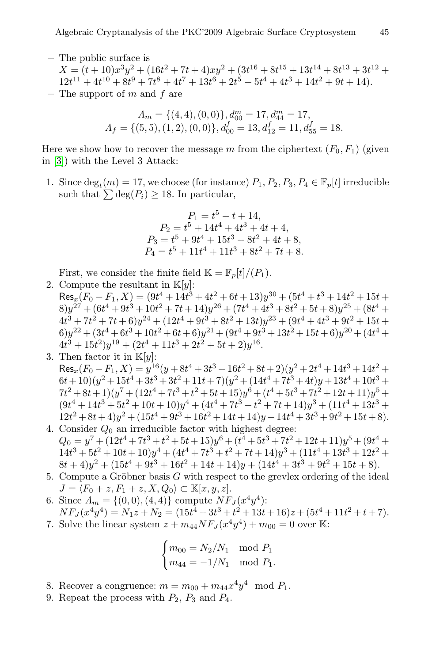**–** The public surface is

 $X = (t+10)x^3y^2 + (16t^2 + 7t + 4)xy^2 + (3t^{16} + 8t^{15} + 13t^{14} + 8t^{13} + 3t^{12} +$  $12t^{11} + 4t^{10} + 8t^9 + 7t^8 + 4t^7 + 13t^6 + 2t^5 + 5t^4 + 4t^3 + 14t^2 + 9t + 14$ . **–** The support of m and f are

> $\Lambda_m = \{(4, 4), (0, 0)\}, d_{00}^m = 17, d_{44}^m = 17,$  $A_f = \{(5,5), (1,2), (0,0)\}, d_{00}^f = 13, d_{12}^f = 11, d_{55}^f = 18.$

Here we show how to recover the message m from the ciphertext  $(F_0, F_1)$  (given in [3]) with the Level 3 Attack:  $\Lambda_f = \{ (3, 3), (1, 2), (0, 0) \}, d_{00}$ <br>e we show how to recover the message m<br>3]) with the Level 3 Attack:<br>Since  $\deg_t(m) = 17$ , we choose (for instan<br>such that  $\sum \deg(P_i) \ge 18$ . In particular,

1. Since  $\deg_t(m) = 17$ , we choose (for instance)  $P_1, P_2, P_3, P_4 \in \mathbb{F}_p[t]$  irreducible

$$
P_1 = t^5 + t + 14,
$$
  
\n
$$
P_2 = t^5 + 14t^4 + 4t^3 + 4t + 4,
$$
  
\n
$$
P_3 = t^5 + 9t^4 + 15t^3 + 8t^2 + 4t + 8,
$$
  
\n
$$
P_4 = t^5 + 11t^4 + 11t^3 + 8t^2 + 7t + 8.
$$

First, we consider the finite field  $\mathbb{K} = \mathbb{F}_p[t]/(P_1)$ .

2. Compute the resultant in  $\mathbb{K}[y]$ :

 $\text{Res}_x(F_0 - F_1, X) = (9t^4 + 14t^3 + 4t^2 + 6t + 13)y^{30} + (5t^4 + t^3 + 14t^2 + 15t +$  $(8) y^{27} + (6t^4 + 9t^3 + 10t^2 + 7t + 14)y^{26} + (7t^4 + 4t^3 + 8t^2 + 5t + 8)y^{25} + (8t^4 +$  $4t^3 + 7t^2 + 7t + 6$   $\frac{1}{2}t^4 + 9t^3 + 8t^2 + 13t\frac{1}{2}t^3 + 9t^4 + 4t^3 + 9t^2 + 15t +$  $6)$  $y^{22} + (3t^4 + 6t^3 + 10t^2 + 6t + 6)y^{21} + (9t^4 + 9t^3 + 13t^2 + 15t + 6)y^{20} + (4t^4 +$  $4t^3 + 15t^2)y^{19} + (2t^4 + 11t^3 + 2t^2 + 5t + 2)y^{16}.$ 

- 3. Then factor it in  $\mathbb{K}[y]$ :  $\text{Res}_x(F_0 - F_1, X) = y^{16}(y + 8t^4 + 3t^3 + 16t^2 + 8t + 2)(y^2 + 2t^4 + 14t^3 + 14t^2 +$  $(6t+10)(y^2+15t^4+3t^3+3t^2+11t+7)(y^2+(14t^4+7t^3+4t)y+13t^4+10t^3+$  $7t^2 + 8t + 1(y^7 + (12t^4 + 7t^3 + t^2 + 5t + 15)y^6 + (t^4 + 5t^3 + 7t^2 + 12t + 11)y^5 +$  $(9t^4 + 14t^3 + 5t^2 + 10t + 10)y^4 + (4t^4 + 7t^3 + t^2 + 7t + 14)y^3 + (11t^4 + 13t^3 +$  $12t^2 + 8t + 4)y^2 + (15t^4 + 9t^3 + 16t^2 + 14t + 14)y + 14t^4 + 3t^3 + 9t^2 + 15t + 8$
- 4. Consider  $Q_0$  an irreducible factor with highest degree:  $Q_0 = y^7 + (12t^4 + 7t^3 + t^2 + 5t + 15)y^6 + (t^4 + 5t^3 + 7t^2 + 12t + 11)y^5 + (9t^4 +$  $14t^3 + 5t^2 + 10t + 10)y^4 + (4t^4 + 7t^3 + t^2 + 7t + 14)y^3 + (11t^4 + 13t^3 + 12t^2 +$  $8t+4)y^{2} + (15t^{4} + 9t^{3} + 16t^{2} + 14t + 14)y + (14t^{4} + 3t^{3} + 9t^{2} + 15t + 8).$
- 5. Compute a Gröbner basis  $G$  with respect to the grevlex ordering of the ideal  $J = \langle F_0 + z, F_1 + z, X, Q_0 \rangle \subset \mathbb{K}[x, y, z].$
- 6. Since  $\Lambda_m = \{(0,0), (4,4)\}\)$  compute  $NF_J(x^4y^4)$ :  $NF_J(x^4y^4) = N_1z + N_2 = (15t^4 + 3t^3 + t^2 + 13t + 16)z + (5t^4 + 11t^2 + t + 7).$
- 7. Solve the linear system  $z + m_{44}NF_{J}(x^4y^4) + m_{00} = 0$  over K:

$$
\begin{cases} m_{00} = N_2/N_1 \mod P_1 \\ m_{44} = -1/N_1 \mod P_1. \end{cases}
$$

- 8. Recover a congruence:  $m = m_{00} + m_{44}x^4y^4 \mod P_1$ .
- 9. Repeat the process with  $P_2$ ,  $P_3$  and  $P_4$ .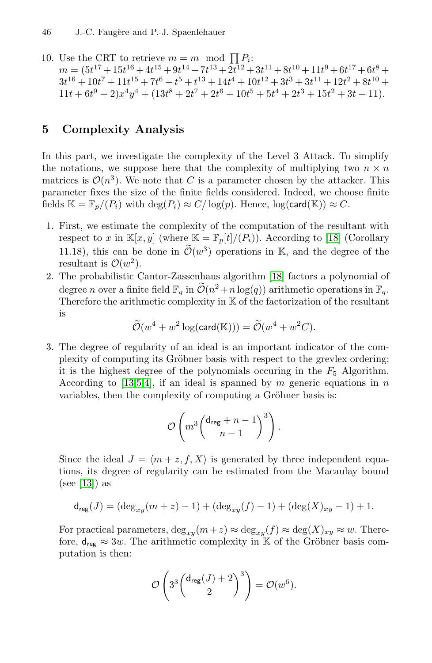10. Use the CRT to retrieve  $m = m \mod \prod P_i$ :  $m = (5t^{17} + 15t^{16} + 4t^{15} + 9t^{14} + 7t^{13} + 2t^{12} + 3t^{11} + 8t^{10} + 11t^9 + 6t^{17} + 6t^8 +$  $3t^{16} + 10t^7 + 11t^{15} + 7t^6 + t^5 + t^{13} + 14t^4 + 10t^{12} + 3t^3 + 3t^{11} + 12t^2 + 8t^{10} +$  $11t + 6t^9 + 2)x^4y^4 + (13t^8 + 2t^7 + 2t^6 + 10t^5 + 5t^4 + 2t^3 + 15t^2 + 3t + 11).$ 

## **5 Complexity Analysis**

In this part, we investigate the complexity of the Level 3 Attack. To simplify the notations, we suppose here that the complexity of multiplying two  $n \times n$ matrices is  $\mathcal{O}(n^3)$ . We note that [C](#page-16-5) is a parameter chosen by the attacker. This parameter fixes the size of the finite fields considered. Indeed, we choose finite fields  $\mathbb{K} = \mathbb{F}_p/(P_i)$  with  $\deg(P_i) \approx C/\log(p)$ . Hence,  $\log(\text{card}(\mathbb{K})) \approx C$ .

- 1. First, we estimate the complexity of the computation of the resultant with respect to x in  $\mathbb{K}[x, y]$  (where  $\mathbb{K} = \mathbb{F}_p[t]/(P_i)$ ). According to [18] (Corollary about the size of the finite fields considered. Indeed, we choose finite<br>  $\mathbb{R} \mathbb{K} = \mathbb{F}_p/(P_i)$  with  $\deg(P_i) \approx C/\log(p)$ . Hence,  $\log(\text{card}(\mathbb{K})) \approx C$ .<br>
First, we estimate the complexity of the computation of the resultant w resultant is  $\mathcal{O}(w^2)$ . r ist, we estimate the complexity of the computation of the resultant with<br>respect to x in  $\mathbb{K}[x, y]$  (where  $\mathbb{K} = \mathbb{F}_p[t]/(P_i)$ ). According to [18] (Corollary<br>11.18), this can be done in  $\tilde{\mathcal{O}}(w^3)$  $\tilde{\mathcal{O}}(w^3)$  $\tilde{\mathcal{O}}(w^3)$  operations
- 2. The probabilistic Cantor-Zassenhaus algorithm [18] factors a polynomial of Therefore the arithmetic complexity in K of the factorization of the resultant is  $\begin{array}{c} \n\cdot \text{ 0} \n\text{ni} \n\end{array}$ Cantor-Zassenhaus algorithm<br>te field  $\mathbb{F}_q$  in  $\widetilde{\mathcal{O}}(n^2 + n \log(q))$ <br>metic complexity in K of the<br> $(w^4 + w^2 \log(\text{card}(\mathbb{K}))) = \widetilde{\mathcal{O}}$

$$
\widetilde{\mathcal{O}}(w^4 + w^2 \log(\text{card}(\mathbb{K}))) = \widetilde{\mathcal{O}}(w^4 + w^2 C).
$$

3. The degree of regularity of an ideal is an important indicator of the complexity of computing its Gröbner basis with respect to the grevlex ordering: it is the highest degree of the polynomials occuring in the  $F_5$  Algorithm. According to [13,5,4], if an ideal is spanned by  $m$  generic equations in  $n$ variables, then the complexity of computing a Gröbner basis is:

$$
\mathcal{O}\left(m^3\binom{\mathsf{d}_{\text{reg}}+n-1}{n-1}^3\right).
$$

Since the ideal  $J = \langle m + z, f, X \rangle$  is generated by three independent equations, its degree of regularity can be estimated from the Macaulay bound (see [13]) as

$$
\mathsf{d}_{\mathsf{reg}}(J) = (\deg_{xy}(m+z)-1) + (\deg_{xy}(f)-1) + (\deg(X)_{xy} - 1) + 1.
$$

For practical parameters,  $\deg_{xy}(m+z) \approx \deg_{xy}(f) \approx \deg(X)_{xy} \approx w$ . Therefore,  $d_{reg} \approx 3w$ . The arithmetic complexity in K of the Gröbner basis computation is then:

$$
\mathcal{O}\left(3^3 \binom{\mathsf{d}_{\mathsf{reg}}(J)+2}{2}^3\right) = \mathcal{O}(w^6).
$$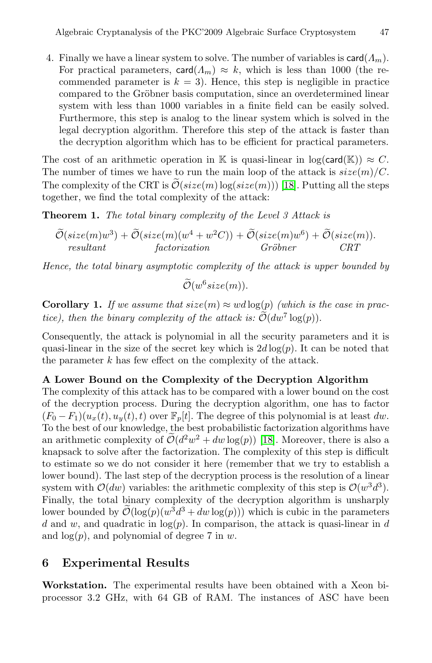4. Finally we have a linear system to solve. The number of variables is  $card(\Lambda_m)$ . For practical parameters,  $\text{card}(\Lambda_m) \approx k$ , which is less than 1000 (the recommended parameter is  $k = 3$ . Hence, this step is negligible in practice [com](#page-16-5)pared to the Gröbner basis computation, since an overdetermined linear system with less than 1000 variables in a finite field can be easily solved. Furthermore, this step is analog to the linear system which is solved in the legal decryption algorithm. Therefore this step of the attack is faster than the decryption algorithm which has to be efficient for practical parameters.

The cost of an arithmetic operation in K is quasi-linear in  $log(card(K)) \approx C$ . The number of times we have to run the main loop of the attack is  $size(m)/C$ . legal decryption algorithm. Therefore this step of the attack is faster than<br>the decryption algorithm which has to be efficient for practical parameters.<br>The cost of an arithmetic operation in K is quasi-linear in  $\log(\text{card$ together, we find the total complexity of the attack: e de<br>et<br> $\widetilde{\mathcal{O}}$ 

**Theorem 1.** *The total binary complexity of the Level 3 Attack is*

$$
\widetilde{\mathcal{O}}(size(m)w^{3}) + \widetilde{\mathcal{O}}(size(m)(w^{4} + w^{2}C)) + \widetilde{\mathcal{O}}(size(m)w^{6}) + \widetilde{\mathcal{O}}(size(m)).
$$
  
resultant factorization  
ance, the total binary asymptotic complexity of the attack is upper bounded  

$$
\widetilde{\mathcal{O}}(w^{6}size(m)).
$$

*Hence, the total binary asymptotic complexity of the attack is upper bounded by*

$$
\widetilde{\mathcal{O}}(w^6 size(m)).
$$

**Corollary 1.** *If we assume that*  $size(m) \approx wd\log(p)$  *(which is the case in prac-Hence, the total binary asymptotic complexity of the attack is up*<br>  $\widetilde{O}(w^6 size(m)).$ <br> **Corollary 1.** *If we assume that size*(*m*)  $\approx$  *wd* log(*p*) (*which is t tice*), *then the binary complexity of the attack is:*

Consequently, the attack is polynomial in all the security parameters and it is quasi-linear in the size of the s[ecre](#page-16-5)t key which is  $2d \log(p)$ . It can be noted that the parameter  $k$  has few effect on the complexity of the attack.

#### **A Lower Bound on the Complexity of the Decryption Algorithm**

The complexity of this attack has to be compared with a lower bound on the cost of the decryption process. During the decryption algorithm, one has to factor  $(F_0 - F_1)(u_x(t), u_y(t), t)$  over  $\mathbb{F}_p[t]$ . The degree of this polynomial is at least dw. To the best of our knowledge, the best probabilistic factorization algorithms have A Lower Bound on the Complexity of the Decryption Algorithm<br>The complexity of this attack has to be compared with a lower bound on the cost<br>of the decryption process. During the decryption algorithm, one has to factor<br> $(F_$ knapsack to solve after the factorization. The complexity of this step is difficult to estimate so we do not consider it here (remember that we try to establish a lower bound). The last step of the decryption process is the resolution of a linear system with  $\mathcal{O}(dw)$  variables: the arithmetic complexity of this step is  $\mathcal{O}(w^3d^3)$ . Finally, the total binary complexity of the decryption algorithm is unsharply knapsack to solve after the factorization. The complexity of this step is difficult<br>to estimate so we do not consider it here (remember that we try to establish a<br>lower bound). The last step of the decryption process is t d and w, and quadratic in  $log(p)$ . In comparison, the attack is quasi-linear in d and  $log(p)$ , and polynomial of degree 7 in w.

## **6 Experimental Results**

**Workstation.** The experimental results have been obtained with a Xeon biprocessor 3.2 GHz, with 64 GB of RAM. The instances of ASC have been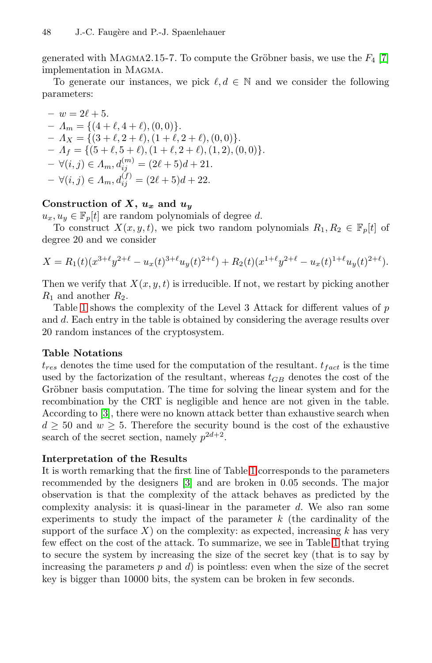#### 48 J.-C. Faugère and P.-J. Spaenlehauer

generated with MAGMA2.15-7. To compute the Gröbner basis, we use the  $F_4$  [7] implementation in Magma.

To generate our instances, we pick  $\ell, d \in \mathbb{N}$  and we consider the following parameters:

 $- w = 2\ell + 5.$  $- A_m = \{ (4 + \ell, 4 + \ell), (0, 0) \}.$  $- A_X = \{ (3 + \ell, 2 + \ell), (1 + \ell, 2 + \ell), (0, 0) \}.$  $- A_f = \{ (5 + \ell, 5 + \ell), (1 + \ell, 2 + \ell), (1, 2), (0, 0) \}.$  $- \forall (i, j) \in A_m, d_{ij}^{(m)} = (2\ell + 5)d + 21.$  $- \forall (i, j) \in A_m, d_{ij}^{(f)} = (2\ell + 5)d + 22.$ 

# Construction of  $X$ ,  $u_x$  and  $u_y$

 $u_x, u_y \in \mathbb{F}_p[t]$  are random polynomials of degree d.

To construct  $X(x, y, t)$ , we pick two random polynomials  $R_1, R_2 \in \mathbb{F}_p[t]$  of degree 20 and we consider

$$
X = R_1(t)(x^{3+\ell}y^{2+\ell} - u_x(t)^{3+\ell}u_y(t)^{2+\ell}) + R_2(t)(x^{1+\ell}y^{2+\ell} - u_x(t)^{1+\ell}u_y(t)^{2+\ell}).
$$

Then we verify that  $X(x, y, t)$  is irreducible. If not, we restart by picking another  $R_1$  and another  $R_2$ .

Table 1 shows the complexity of the Level 3 Attack for different values of p and d. Each entry in the table is obtained by considering the average results over 20 random instances of the cryptosystem.

#### **Table Notations**

 $t_{res}$  denotes the time used for the computation of the resultant.  $t_{fact}$  is the time used by [th](#page-14-0)e factorization of the resultant, whereas  $t_{GB}$  denotes the cost of the Gröbner basi[s c](#page-15-0)omputation. The time for solving the linear system and for the recombination by the CRT is negligible and hence are not given in the table. According to [3], there were no known attack better than exhaustive search when  $d \geq 50$  and  $w \geq 5$ . Therefore the security bound is the cost of the exhaustive search of the secret section, namely  $p^{2d+2}$ .

#### **Interpretation of the Results**

It is worth remarking that the first line of Table 1 corresponds to the parameters recommended by the designers [3] and are broken in 0.05 seconds. The major observation is that the complexity of the attack behaves as predicted by the complexity analysis: it is quasi-linear in the parameter  $d$ . We also ran some experiments to study the impact of the parameter  $k$  (the cardinality of the support of the surface  $X$ ) on the complexity: as expected, increasing k has very few effect on the cost of the attack. To summarize, we see in Table 1 that trying to secure the system by increasing the size of the secret key (that is to say by increasing the parameters  $p$  and  $d$ ) is pointless: even when the size of the secret key is bigger than 10000 bits, the system can be broken in few seconds.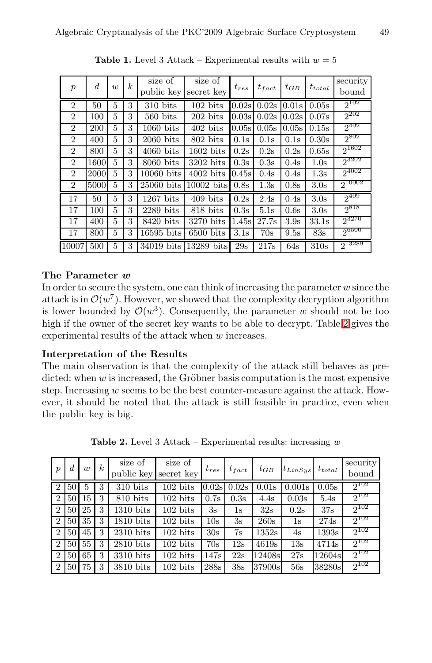<span id="page-14-0"></span>

| $\overline{p}$ | d    | w | $\boldsymbol{k}$ | size of<br>public key | size of<br>secret key | $t_{res}$ | $t_{fact}$ | $t_{GB}$ | $t_{total}$      | security<br>bound |
|----------------|------|---|------------------|-----------------------|-----------------------|-----------|------------|----------|------------------|-------------------|
| $\overline{2}$ | 50   | 5 | 3                | $310 \text{ bits}$    | $102 \text{ bits}$    | 0.02s     | 0.02s      | 0.01s    | 0.05s            | $2^{102}$         |
| $\overline{2}$ | 100  | 5 | 3                | $560$ bits            | $202 \text{ bits}$    | 0.03s     | 0.02s      | 0.02s    | 0.07s            | $2^{202}$         |
| $\overline{2}$ | 200  | 5 | 3                | $1060$ bits           | $402$ bits            | 0.05s     | 0.05s      | 0.05s    | 0.15s            | $2^{402}$         |
| $\overline{2}$ | 400  | 5 | 3                | $2060$ bits           | 802 bits              | 0.1s      | 0.1s       | 0.1s     | 0.30s            | $2^{802}$         |
| $\overline{2}$ | 800  | 5 | 3                | $4060$ bits           | $1602$ bits           | 0.2s      | 0.2s       | 0.2s     | 0.65s            | $2^{1602}$        |
| $\overline{2}$ | 1600 | 5 | 3                | $8060$ bits           | $3202$ bits           | 0.3s      | 0.3s       | 0.4s     | 1.0s             | 23202             |
| $\overline{2}$ | 2000 | 5 | 3                | $10060$ bits          | $4002~\mathrm{bits}$  | 0.45s     | 0.4s       | 0.4s     | 1.3s             | $2^{4002}$        |
| $\overline{2}$ | 5000 | 5 | 3                | $25060$ bits          | $10002$ bits          | 0.8s      | 1.3s       | 0.8s     | 3.0 <sub>s</sub> | 210002            |
| 17             | 50   | 5 | 3                | $1267$ bits           | $409$ bits            | 0.2s      | 2.4s       | 0.4s     | 3.0 <sub>s</sub> | $2^{409}$         |
| 17             | 100  | 5 | 3                | $2289$ bits           | 818 bits              | 0.3s      | 5.1s       | 0.6s     | 3.0 <sub>s</sub> | $2^{818}$         |
| 17             | 400  | 5 | 3                | $8420$ bits           | 3270 bits             | 1.45s     | 27.7s      | 3.9s     | 33.1s            | 23270             |
| 17             | 800  | 5 | 3                | $16595$ bits          | $6500$ bits           | 3.1s      | 70s        | 9.5s     | 83s              | $2^{6500}$        |
| 10007          | 500  | 5 | 3                | 34019 bits            | 13289 bits            | 29s       | 217s       | 64s      | 310s             | $2^{13289}$       |

**Table 1.** Level 3 Attack – Experimental results with  $w = 5$ 

## **The Parameter** *w*

In order to secure the system, one can think of increasing the parameter  $w$  since the attack is in  $\mathcal{O}(w^7)$ . However, we showed that the complexity decryption algorithm is lower bounded by  $\mathcal{O}(w^3)$ . Consequently, the parameter w should not be too high if the owner of the secret key wants to be able to decrypt. Table 2 gives the experimental results of the attack when w increases.

### <span id="page-14-1"></span>**Interpretation of the Results**

The main observation is that the complexity of the attack still behaves as predicted: when  $w$  is increased, the Gröbner basis computation is the most expensive step. Increasing  $w$  seems to be the best counter-measure against the attack. However, it should be noted that the attack is still feasible in practice, even when the public key is big.

| $\boldsymbol{p}$ | d               | $\overline{u}$ | $\boldsymbol{k}$ | size of<br>public key | size of<br>secret key | $t_{res}$ | $t_{fact}$    | $t_{GB}$ | $t_{LinSys}$  | $t_{total}$ | security<br>bound |
|------------------|-----------------|----------------|------------------|-----------------------|-----------------------|-----------|---------------|----------|---------------|-------------|-------------------|
| $\overline{2}$   | 50 <sup>°</sup> | 5              | 3                | $310$ bits            | $102 \text{ bits}$    | 0.02s     | 0.02s         | 0.01s    | 0.001s        | 0.05s       | $2^{102}$         |
| 2                | 50 <sub>1</sub> | 15             | 3                | 810 bits              | $102 \text{ bits}$    | 0.7s      | 0.3s          | 4.4s     | 0.03s         | 5.4s        | $2^{102}$         |
| $\overline{2}$   | 50              | 25             | 3                | $1310$ bits           | $102 \text{ bits}$    | 3s        | $1\mathrm{s}$ | 32s      | 0.2s          | 37s         | $2^{102}$         |
| 2                | 50 <sup>1</sup> | 35             | 3                | $1810$ bits           | $102 \text{ bits}$    | 10s       | 3s            | 260s     | $1\mathrm{s}$ | 274s        | $2^{102}$         |
| $\overline{2}$   | 50              | 45             | 3                | $2310$ bits           | $102 \text{ bits}$    | 30s       | 7s            | 1352s    | 4s            | 1393s       | $2^{102}$         |
| $\overline{2}$   | 50              | 55             | 3                | $2810$ bits           | $102 \text{ bits}$    | 70s       | 12s           | 4619s    | 13s           | 4714s       | $2^{102}$         |
| $\overline{2}$   | 50 <sup>1</sup> | 65             | 3                | $3310$ bits           | $102 \text{ bits}$    | 147s      | 22s           | 12408s   | 27s           | 12604s      | $2^{102}$         |
| $\overline{2}$   | 50              | 75             | 3                | $3810$ bits           | $102 \text{ bits}$    | 288s      | 38s           | 37900sl  | 56s           | 38280s      | $2^{102}$         |

**Table 2.** Level 3 Attack – Experimental results: increasing *w*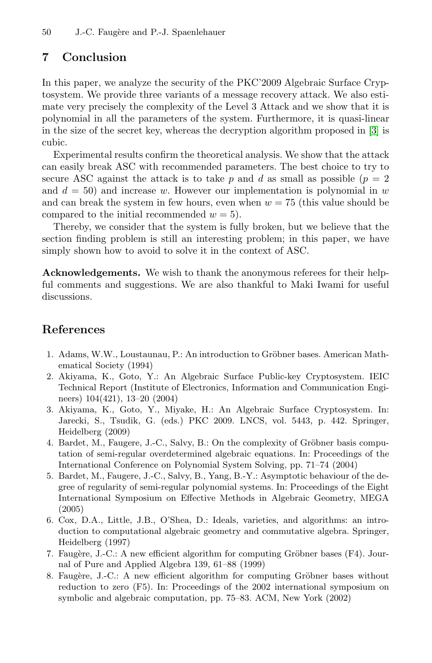# **7 Conclusion**

In this paper, we analyze the security of the PKC'2009 Algebraic Surface Cryptosystem. We provide three variants of a message recovery attack. We also estimate very precisely the complexity of the Level 3 Attack and we show that it is polynomial in all the parameters of the system. Furthermore, it is quasi-linear in the size of the secret key, whereas the decryption algorithm proposed in [3] is cubic.

Experimental results confirm the theoretical analysis. We show that the attack can easily break ASC with recommended parameters. The best choice to try to secure ASC against the attack is to take p and d as small as possible  $(p = 2)$ and  $d = 50$ ) and increase w. However our implementation is polynomial in w and can break the system in few hours, even when  $w = 75$  (this value should be compared to the initial recommended  $w = 5$ ).

Thereby, we consider that the system is fully broken, but we believe that the section finding problem is still an interesting problem; in this paper, we have simply shown how to avoid to solve it in the context of ASC.

<span id="page-15-5"></span><span id="page-15-1"></span>**Acknowledgements.** We wish to thank the anonymous referees for their helpful comments and suggestions. We are also thankful to Maki Iwami for useful discussions.

# <span id="page-15-3"></span><span id="page-15-0"></span>**References**

- 1. Adams, W.W., Loustaunau, P.: An introduction to Gröbner bases. American Mathematical Society (1994)
- <span id="page-15-2"></span>2. Akiyama, K., Goto, Y.: An Algebraic Surface Public-key Cryptosystem. IEIC Technical Report (Institute of Electronics, Information and Communication Engineers) 104(421), 13–20 (2004)
- <span id="page-15-4"></span>3. Akiyama, K., Goto, Y., Miyake, H.: An Algebraic Surface Cryptosystem. In: Jarecki, S., Tsudik, G. (eds.) PKC 2009. LNCS, vol. 5443, p. 442. Springer, Heidelberg (2009)
- 4. Bardet, M., Faugere, J.-C., Salvy, B.: On the complexity of Gröbner basis computation of semi-regular overdetermined algebraic equations. In: Proceedings of the International Conference on Polynomial System Solving, pp. 71–74 (2004)
- 5. Bardet, M., Faugere, J.-C., Salvy, B., Yang, B.-Y.: Asymptotic behaviour of the degree of regularity of semi-regular polynomial systems. In: Proceedings of the Eight International Symposium on Effective Methods in Algebraic Geometry, MEGA (2005)
- 6. Cox, D.A., Little, J.B., O'Shea, D.: Ideals, varieties, and algorithms: an introduction to computational algebraic geometry and commutative algebra. Springer, Heidelberg (1997)
- 7. Faugère, J.-C.: A new efficient algorithm for computing Gröbner bases ( $F4$ ). Journal of Pure and Applied Algebra 139, 61–88 (1999)
- 8. Faugère, J.-C.: A new efficient algorithm for computing Gröbner bases without reduction to zero (F5). In: Proceedings of the 2002 international symposium on symbolic and algebraic computation, pp. 75–83. ACM, New York (2002)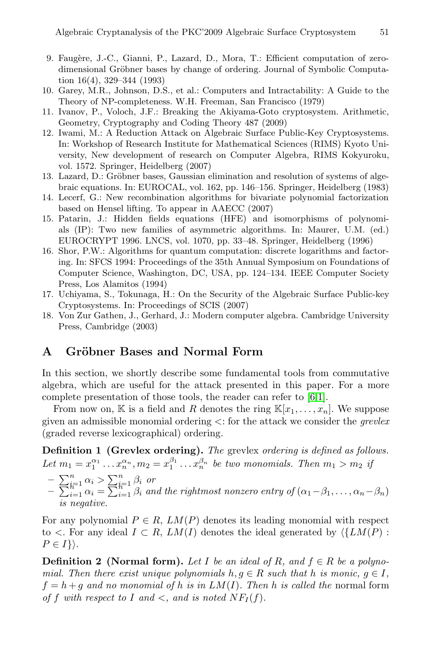- <span id="page-16-4"></span><span id="page-16-3"></span><span id="page-16-1"></span>9. Faugère, J.-C., Gianni, P., Lazard, D., Mora, T.: Efficient computation of zerodimensional Gröbner bases by change of ordering. Journal of Symbolic Computation 16(4), 329–344 (1993)
- <span id="page-16-6"></span>10. Garey, M.R., Johnson, D.S., et al.: Computers and Intractability: A Guide to the Theory of NP-completeness. W.H. Freeman, San Francisco (1979)
- <span id="page-16-0"></span>11. Ivanov, P., Voloch, J.F.: Breaking the Akiyama-Goto cryptosystem. Arithmetic, Geometry, Cryptography and Coding Theory 487 (2009)
- 12. Iwami, M.: A Reduction Attack on Algebraic Surface Public-Key Cryptosystems. In: Workshop of Research Institute for Mathematical Sciences (RIMS) Kyoto University, New development of research on Computer Algebra, RIMS Kokyuroku, vol. 1572. Springer, Heidelberg (2007)
- 13. Lazard, D.: Gröbner bases, Gaussian elimination and resolution of systems of algebraic equations. In: EUROCAL, vol. 162, pp. 146–156. Springer, Heidelberg (1983)
- <span id="page-16-2"></span>14. Lecerf, G.: New recombination algorithms for bivariate polynomial factorization based on Hensel lifting. To appear in AAECC (2007)
- <span id="page-16-5"></span>15. Patarin, J.: Hidden fields equations (HFE) and isomorphisms of polynomials (IP): Two new families of asymmetric algorithms. In: Maurer, U.M. (ed.) EUROCRYPT 1996. LNCS, vol. 1070, pp. 33–48. Springer, Heidelberg (1996)
- 16. Shor, P.W.: Algorithms for quantum computation: discrete logarithms and factoring. In: SFCS 1994: Proceedings of the 35th Annual Symposium on Foundations of Computer Science, Washington, DC, USA, pp. 124–134. IEEE Computer Society Press, Los Alamitos (1994)
- 17. Uchiyama, S., Tokunaga, H.: On the Security of the Algebraic Surface Public-key Cryptosystems. In: Proceedings of SCIS [\(20](#page-15-4)[07](#page-15-5))
- 18. Von Zur Gathen, J., Gerhard, J.: Modern computer algebra. Cambridge University Press, Cambridge (2003)

## A Gröbner Bases and Normal Form

In this section, we shortly describe some fundamental tools from commutative algebra, which are useful for the attack presented in this paper. For a more complete presentation of those tools, the reader can refer to [6,1].

From now on, K is a field and R denotes the ring  $\mathbb{K}[x_1,\ldots,x_n]$ . We suppose given an admissible monomial ordering <: for the attack we consider the *grevlex* (graded reverse lexicographical) ordering. Figure 1 and admissible monod<br>
graded reverse lexicograp<br> **Definition 1 (Grevlex** of<br>  $et m_1 = x_1^{\alpha_1} \dots x_n^{\alpha_n}, m_2 = \sum_{i=1}^n \beta_i$  or

**Definition 1 (Grevlex ordering).** *The* grevlex *ordering is defined as follows.* Let  $m_1 = x_1^{\alpha_1} \dots x_n^{\alpha_n}$ ,  $m_2 = x_1^{\beta_1} \dots x_n^{\beta_n}$  be two monomials. Then  $m_1 > m_2$  *if* **Figure 1** and the rightmost nonzero entry of ( $\alpha_1 - \beta_1$ ,..., $\alpha_n - \sum_{i=1}^n \alpha_i > \sum_{i=1}^n \beta_i$  or<br>  $\alpha_i = \sum_{i=1}^n \alpha_i = \sum_{i=1}^n \beta_i$  and the rightmost nonzero entry of  $(\alpha_1 - \beta_1, \ldots, \alpha_n - \beta_n)$ 

- 
- *is negative.*

For any polynomial  $P \in R$ ,  $LM(P)$  denotes its leading monomial with respect to  $\lt$ . For any ideal  $I \subset R$ ,  $LM(I)$  denotes the ideal generated by  $\langle \{LM(P) :$  $P\in I\}$ .

**Definition 2** (Normal form). Let I be an ideal of R, and  $f \in R$  be a polyno*mial. Then there exist unique polynomials*  $h, g \in R$  *such that* h *is monic,*  $g \in I$ ,  $f = h + g$  *and no monomial of* h *is in LM(I)*. Then h *is called the* normal form *of* f *with respect to* I *and*  $\lt$ , *and is noted*  $NF_I(f)$ *.*